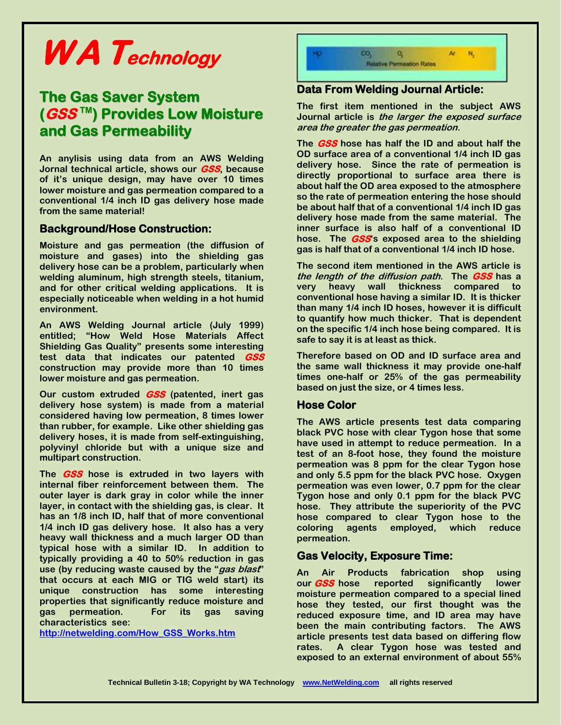# **WA Technology**

# **The Gas Saver System (GSS TM ) Provides Low Moisture and Gas Permeability**

**An anylisis using data from an AWS Welding Jornal technical article, shows our GSS, because of it's unique design, may have over 10 times lower moisture and gas permeation compared to a conventional 1/4 inch ID gas delivery hose made from the same material!** 

#### **Background/Hose Construction:**

**Moisture and gas permeation (the diffusion of moisture and gases) into the shielding gas delivery hose can be a problem, particularly when welding aluminum, high strength steels, titanium, and for other critical welding applications. It is especially noticeable when welding in a hot humid environment.**

**An AWS Welding Journal article (July 1999) entitled; "How Weld Hose Materials Affect Shielding Gas Quality" presents some interesting test data that indicates our patented GSS construction may provide more than 10 times lower moisture and gas permeation.**

**Our custom extruded GSS (patented, inert gas delivery hose system) is made from a material considered having low permeation, 8 times lower than rubber, for example. Like other shielding gas delivery hoses, it is made from self-extinguishing, polyvinyl chloride but with a unique size and multipart construction.**

**The GSS hose is extruded in two layers with internal fiber reinforcement between them. The outer layer is dark gray in color while the inner layer, in contact with the shielding gas, is clear. It has an 1/8 inch ID, half that of more conventional 1/4 inch ID gas delivery hose. It also has a very heavy wall thickness and a much larger OD than typical hose with a similar ID. In addition to typically providing a 40 to 50% reduction in gas use (by reducing waste caused by the "gas blast" that occurs at each MIG or TIG weld start) its unique construction has some interesting properties that significantly reduce moisture and gas permeation. For its gas saving characteristics see:** 

**[http://netwelding.com/How\\_GSS\\_Works.htm](http://netwelding.com/How_GSS_Works.htm)**



# **Data From Welding Journal Article:**

**The first item mentioned in the subject AWS Journal article is the larger the exposed surface area the greater the gas permeation.**

**The GSS hose has half the ID and about half the OD surface area of a conventional 1/4 inch ID gas delivery hose. Since the rate of permeation is directly proportional to surface area there is about half the OD area exposed to the atmosphere so the rate of permeation entering the hose should be about half that of a conventional 1/4 inch ID gas delivery hose made from the same material. The inner surface is also half of a conventional ID hose. The GSS's exposed area to the shielding gas is half that of a conventional 1/4 inch ID hose.**

**The second item mentioned in the AWS article is the length of the diffusion path. The GSS has a very heavy wall thickness compared to conventional hose having a similar ID. It is thicker than many 1/4 inch ID hoses, however it is difficult to quantify how much thicker. That is dependent on the specific 1/4 inch hose being compared. It is safe to say it is at least as thick.**

**Therefore based on OD and ID surface area and the same wall thickness it may provide one-half times one-half or 25% of the gas permeability based on just the size, or 4 times less.**

# **Hose Color**

**The AWS article presents test data comparing black PVC hose with clear Tygon hose that some have used in attempt to reduce permeation. In a test of an 8-foot hose, they found the moisture permeation was 8 ppm for the clear Tygon hose and only 5.5 ppm for the black PVC hose. Oxygen permeation was even lower, 0.7 ppm for the clear Tygon hose and only 0.1 ppm for the black PVC hose. They attribute the superiority of the PVC hose compared to clear Tygon hose to the coloring agents employed, which reduce permeation.**

# **Gas Velocity, Exposure Time:**

**An Air Products fabrication shop using our GSS hose reported significantly lower moisture permeation compared to a special lined hose they tested, our first thought was the reduced exposure time, and ID area may have been the main contributing factors. The AWS article presents test data based on differing flow rates. A clear Tygon hose was tested and exposed to an external environment of about 55%**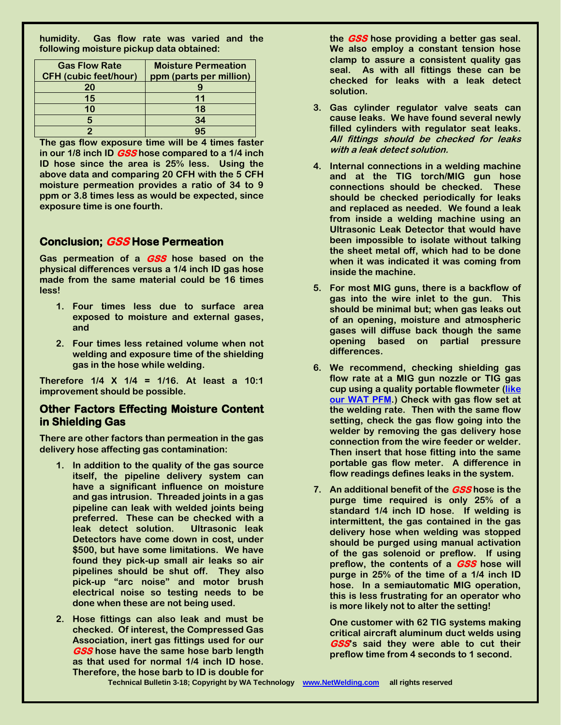**humidity. Gas flow rate was varied and the following moisture pickup data obtained:**

| <b>Gas Flow Rate</b>         | <b>Moisture Permeation</b> |
|------------------------------|----------------------------|
| <b>CFH</b> (cubic feet/hour) | ppm (parts per million)    |
| 20                           |                            |
| 15                           |                            |
| 10                           | 18                         |
|                              | 34                         |
|                              |                            |

**The gas flow exposure time will be 4 times faster in our 1/8 inch ID GSS hose compared to a 1/4 inch ID hose since the area is 25% less. Using the above data and comparing 20 CFH with the 5 CFH moisture permeation provides a ratio of 34 to 9 ppm or 3.8 times less as would be expected, since exposure time is one fourth.** 

# **Conclusion; GSS Hose Permeation**

**Gas permeation of a GSS hose based on the physical differences versus a 1/4 inch ID gas hose made from the same material could be 16 times less!**

- **1. Four times less due to surface area exposed to moisture and external gases, and**
- **2. Four times less retained volume when not welding and exposure time of the shielding gas in the hose while welding.**

**Therefore 1/4 X 1/4 = 1/16. At least a 10:1 improvement should be possible.**

# **Other Factors Effecting Moisture Content in Shielding Gas**

**There are other factors than permeation in the gas delivery hose affecting gas contamination:**

- **1. In addition to the quality of the gas source itself, the pipeline delivery system can have a significant influence on moisture and gas intrusion. Threaded joints in a gas pipeline can leak with welded joints being preferred. These can be checked with a leak detect solution. Ultrasonic leak Detectors have come down in cost, under \$500, but have some limitations. We have found they pick-up small air leaks so air pipelines should be shut off. They also pick-up "arc noise" and motor brush electrical noise so testing needs to be done when these are not being used.**
- **2. Hose fittings can also leak and must be checked. Of interest, the Compressed Gas Association, inert gas fittings used for our GSS hose have the same hose barb length as that used for normal 1/4 inch ID hose. Therefore, the hose barb to ID is double for**

**the GSS hose providing a better gas seal. We also employ a constant tension hose clamp to assure a consistent quality gas seal. As with all fittings these can be checked for leaks with a leak detect solution.**

- **3. Gas cylinder regulator valve seats can cause leaks. We have found several newly filled cylinders with regulator seat leaks. All fittings should be checked for leaks with a leak detect solution.**
- **4. Internal connections in a welding machine and at the TIG torch/MIG gun hose connections should be checked. These should be checked periodically for leaks and replaced as needed. We found a leak from inside a welding machine using an Ultrasonic Leak Detector that would have been impossible to isolate without talking the sheet metal off, which had to be done when it was indicated it was coming from inside the machine.**
- **5. For most MIG guns, there is a backflow of gas into the wire inlet to the gun. This should be minimal but; when gas leaks out of an opening, moisture and atmospheric gases will diffuse back though the same opening based on partial pressure differences.**
- **6. We recommend, checking shielding gas flow rate at a MIG gun nozzle or TIG gas cup using a quality portable flowmeter [\(like](http://netwelding.com/prod02.htm#Flow Gauge)  [our WAT PFM.](http://netwelding.com/prod02.htm#Flow Gauge)) Check with gas flow set at the welding rate. Then with the same flow setting, check the gas flow going into the welder by removing the gas delivery hose connection from the wire feeder or welder. Then insert that hose fitting into the same portable gas flow meter. A difference in flow readings defines leaks in the system.**
- **7. An additional benefit of the GSS hose is the purge time required is only 25% of a standard 1/4 inch ID hose. If welding is intermittent, the gas contained in the gas delivery hose when welding was stopped should be purged using manual activation of the gas solenoid or preflow. If using preflow, the contents of a GSS hose will purge in 25% of the time of a 1/4 inch ID hose. In a semiautomatic MIG operation, this is less frustrating for an operator who is more likely not to alter the setting!**

**One customer with 62 TIG systems making critical aircraft aluminum duct welds using GSS's said they were able to cut their preflow time from 4 seconds to 1 second.**

**Technical Bulletin 3-18; Copyright by WA Technology [www.NetWelding.com](http://www.netwelding.com/) all rights reserved**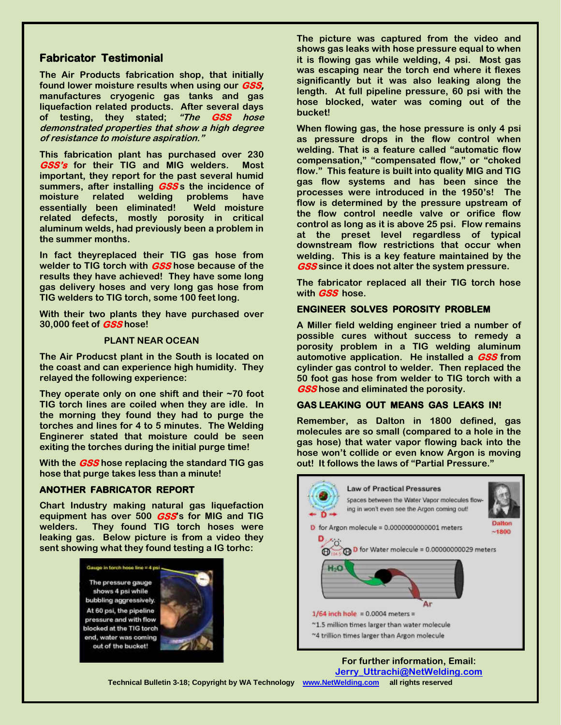# **Fabricator Testimonial**

**The Air Products fabrication shop, that initially found lower moisture results when using our GSS, manufactures cryogenic gas tanks and gas liquefaction related products. After several days of testing, they stated; "The GSS hose demonstrated properties that show a high degree of resistance to moisture aspiration."**

**This fabrication plant has purchased over 230 GSS's for their TIG and MIG welders. Most important, they report for the past several humid summers, after installing GSS s the incidence of moisture related welding problems have essentially been eliminated! Weld moisture related defects, mostly porosity in critical aluminum welds, had previously been a problem in the summer months.**

**In fact theyreplaced their TIG gas hose from welder to TIG torch with GSS hose because of the results they have achieved! They have some long gas delivery hoses and very long gas hose from TIG welders to TIG torch, some 100 feet long.** 

**With their two plants they have purchased over 30,000 feet of GSS hose!**

#### **PLANT NEAR OCEAN**

**The Air Producst plant in the South is located on the coast and can experience high humidity. They relayed the following experience:**

**They operate only on one shift and their ~70 foot TIG torch lines are coiled when they are idle. In the morning they found they had to purge the torches and lines for 4 to 5 minutes. The Welding Enginerer stated that moisture could be seen exiting the torches during the initial purge time!**

**With the GSS hose replacing the standard TIG gas hose that purge takes less than a minute!**

#### **ANOTHER FABRICATOR REPORT**

**Chart Industry making natural gas liquefaction equipment has over 500 GSS's for MIG and TIG welders. They found TIG torch hoses were leaking gas. Below picture is from a video they sent showing what they found testing a IG torhc:**

Gauge in torch hose line = 4 psi

The pressure gauge shows 4 psi while bubbling aggressively. At 60 psi, the pipeline pressure and with flow blocked at the TIG torch end, water was coming out of the bucket!



**The picture was captured from the video and shows gas leaks with hose pressure equal to when it is flowing gas while welding, 4 psi. Most gas was escaping near the torch end where it flexes significantly but it was also leaking along the length. At full pipeline pressure, 60 psi with the hose blocked, water was coming out of the bucket!**

**When flowing gas, the hose pressure is only 4 psi as pressure drops in the flow control when welding. That is a feature called "automatic flow compensation," "compensated flow," or "choked flow." This feature is built into quality MIG and TIG gas flow systems and has been since the processes were introduced in the 1950's! The flow is determined by the pressure upstream of the flow control needle valve or orifice flow control as long as it is above 25 psi. Flow remains at the preset level regardless of typical downstream flow restrictions that occur when welding. This is a key feature maintained by the GSS since it does not alter the system pressure.**

**The fabricator replaced all their TIG torch hose with GSS hose.**

#### **ENGINEER SOLVES POROSITY PROBLEM**

**A Miller field welding engineer tried a number of possible cures without success to remedy a porosity problem in a TIG welding aluminum automotive application. He installed a GSS from cylinder gas control to welder. Then replaced the 50 foot gas hose from welder to TIG torch with a GSS hose and eliminated the porosity.**

#### **GAS LEAKING OUT MEANS GAS LEAKS IN!**

**Remember, as Dalton in 1800 defined, gas molecules are so small (compared to a hole in the gas hose) that water vapor flowing back into the hose won't collide or even know Argon is moving out! It follows the laws of "Partial Pressure."**



**For further information, Email: [Jerry\\_Uttrachi@NetWelding.com](mailto:Jerry_Uttrachi@NetWelding.com)**

**Technical Bulletin 3-18; Copyright by WA Technology [www.NetWelding.com](http://www.netwelding.com/) all rights reserved**